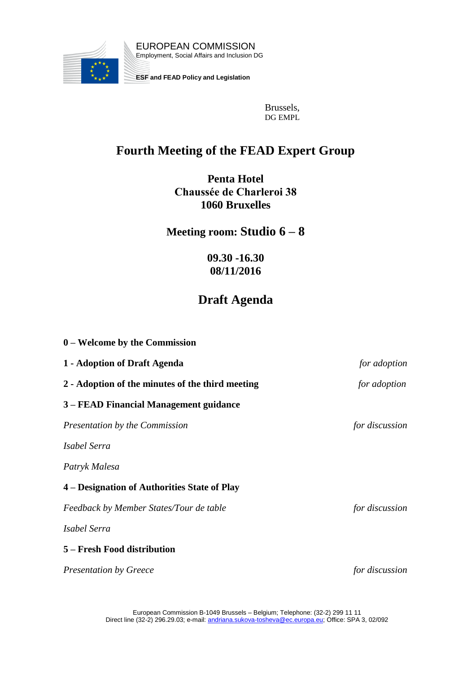

Brussels, DG EMPL

## **Fourth Meeting of the FEAD Expert Group**

**Penta Hotel Chaussée de Charleroi 38 1060 Bruxelles**

**Meeting room: Studio 6 – 8**

**09.30 -16.30 08/11/2016**

## **Draft Agenda**

| $0$ – Welcome by the Commission                  |                |
|--------------------------------------------------|----------------|
| 1 - Adoption of Draft Agenda                     | for adoption   |
| 2 - Adoption of the minutes of the third meeting | for adoption   |
| 3 – FEAD Financial Management guidance           |                |
| Presentation by the Commission                   | for discussion |
| Isabel Serra                                     |                |
| Patryk Malesa                                    |                |
| 4 – Designation of Authorities State of Play     |                |
| Feedback by Member States/Tour de table          | for discussion |
| Isabel Serra                                     |                |
| 5 – Fresh Food distribution                      |                |
| <b>Presentation by Greece</b>                    | for discussion |